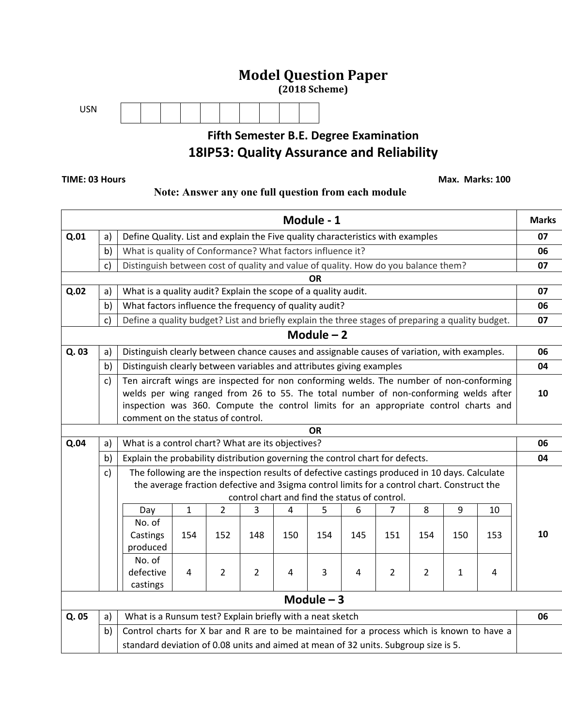## **Model Question Paper**

**(2018 Scheme)**



## **Fifth Semester B.E. Degree Examination 18IP53: Quality Assurance and Reliability**

 **TIME: 03 Hours Max. Marks: 100** 

### **Note: Answer any one full question from each module**

|       |                                                              |                                                                                                                                                                                              |                                                                                     |                |                |                | Module - 1                                    |     |                |                |     |     | <b>Marks</b> |  |
|-------|--------------------------------------------------------------|----------------------------------------------------------------------------------------------------------------------------------------------------------------------------------------------|-------------------------------------------------------------------------------------|----------------|----------------|----------------|-----------------------------------------------|-----|----------------|----------------|-----|-----|--------------|--|
| Q.01  | a)                                                           | Define Quality. List and explain the Five quality characteristics with examples                                                                                                              |                                                                                     |                |                |                |                                               |     |                |                |     |     | 07           |  |
|       | b)                                                           | What is quality of Conformance? What factors influence it?                                                                                                                                   |                                                                                     |                |                |                |                                               |     |                |                |     |     | 06           |  |
|       | c)                                                           | Distinguish between cost of quality and value of quality. How do you balance them?                                                                                                           |                                                                                     |                |                |                |                                               |     |                |                |     |     | 07           |  |
|       |                                                              |                                                                                                                                                                                              |                                                                                     |                |                |                | ΟR                                            |     |                |                |     |     |              |  |
| Q.02  | a)                                                           | What is a quality audit? Explain the scope of a quality audit.                                                                                                                               |                                                                                     |                |                |                |                                               |     |                |                |     |     | 07           |  |
|       | What factors influence the frequency of quality audit?<br>b) |                                                                                                                                                                                              |                                                                                     |                |                |                |                                               |     |                |                |     | 06  |              |  |
|       | c)                                                           | Define a quality budget? List and briefly explain the three stages of preparing a quality budget.                                                                                            |                                                                                     |                |                |                |                                               |     |                |                |     |     | 07           |  |
|       |                                                              |                                                                                                                                                                                              |                                                                                     |                |                |                | Module $-2$                                   |     |                |                |     |     |              |  |
| Q. 03 | a)                                                           | Distinguish clearly between chance causes and assignable causes of variation, with examples.                                                                                                 |                                                                                     |                |                |                |                                               |     |                |                |     |     |              |  |
|       | b)                                                           | Distinguish clearly between variables and attributes giving examples                                                                                                                         |                                                                                     |                |                |                |                                               |     |                |                |     |     | 04           |  |
|       | c)                                                           | Ten aircraft wings are inspected for non conforming welds. The number of non-conforming                                                                                                      |                                                                                     |                |                |                |                                               |     |                |                |     |     |              |  |
|       |                                                              | welds per wing ranged from 26 to 55. The total number of non-conforming welds after                                                                                                          |                                                                                     |                |                |                |                                               |     |                |                |     |     | 10           |  |
|       |                                                              | inspection was 360. Compute the control limits for an appropriate control charts and                                                                                                         |                                                                                     |                |                |                |                                               |     |                |                |     |     |              |  |
|       |                                                              | comment on the status of control.                                                                                                                                                            |                                                                                     |                |                |                |                                               |     |                |                |     |     |              |  |
| Q.04  | a)                                                           | <b>OR</b><br>What is a control chart? What are its objectives?                                                                                                                               |                                                                                     |                |                |                |                                               |     |                |                |     |     |              |  |
|       |                                                              |                                                                                                                                                                                              |                                                                                     |                |                |                |                                               |     |                |                |     |     | 06<br>04     |  |
|       | b)                                                           | Explain the probability distribution governing the control chart for defects.                                                                                                                |                                                                                     |                |                |                |                                               |     |                |                |     |     |              |  |
|       | c)                                                           | The following are the inspection results of defective castings produced in 10 days. Calculate<br>the average fraction defective and 3sigma control limits for a control chart. Construct the |                                                                                     |                |                |                |                                               |     |                |                |     |     |              |  |
|       |                                                              |                                                                                                                                                                                              |                                                                                     |                |                |                | control chart and find the status of control. |     |                |                |     |     |              |  |
|       |                                                              | Day                                                                                                                                                                                          | 1                                                                                   | 2              | 3              | 4              | 5                                             | 6   | 7              | 8              | 9   | 10  |              |  |
|       |                                                              | No. of                                                                                                                                                                                       |                                                                                     |                |                |                |                                               |     |                |                |     |     |              |  |
|       |                                                              | Castings                                                                                                                                                                                     | 154                                                                                 | 152            | 148            | 150            | 154                                           | 145 | 151            | 154            | 150 | 153 | 10           |  |
|       |                                                              | produced                                                                                                                                                                                     |                                                                                     |                |                |                |                                               |     |                |                |     |     |              |  |
|       |                                                              | No. of                                                                                                                                                                                       |                                                                                     |                |                |                |                                               |     |                |                |     |     |              |  |
|       |                                                              | defective                                                                                                                                                                                    | $\overline{4}$                                                                      | $\overline{2}$ | $\overline{2}$ | $\overline{4}$ | 3                                             | 4   | $\overline{2}$ | $\overline{2}$ | 1   | 4   |              |  |
|       |                                                              | castings                                                                                                                                                                                     |                                                                                     |                |                |                |                                               |     |                |                |     |     |              |  |
|       |                                                              |                                                                                                                                                                                              |                                                                                     |                |                |                | Module $-3$                                   |     |                |                |     |     |              |  |
| Q. 05 | a)                                                           | What is a Runsum test? Explain briefly with a neat sketch                                                                                                                                    |                                                                                     |                |                |                |                                               |     |                |                |     |     | 06           |  |
|       | b)                                                           | Control charts for X bar and R are to be maintained for a process which is known to have a                                                                                                   |                                                                                     |                |                |                |                                               |     |                |                |     |     |              |  |
|       |                                                              |                                                                                                                                                                                              | standard deviation of 0.08 units and aimed at mean of 32 units. Subgroup size is 5. |                |                |                |                                               |     |                |                |     |     |              |  |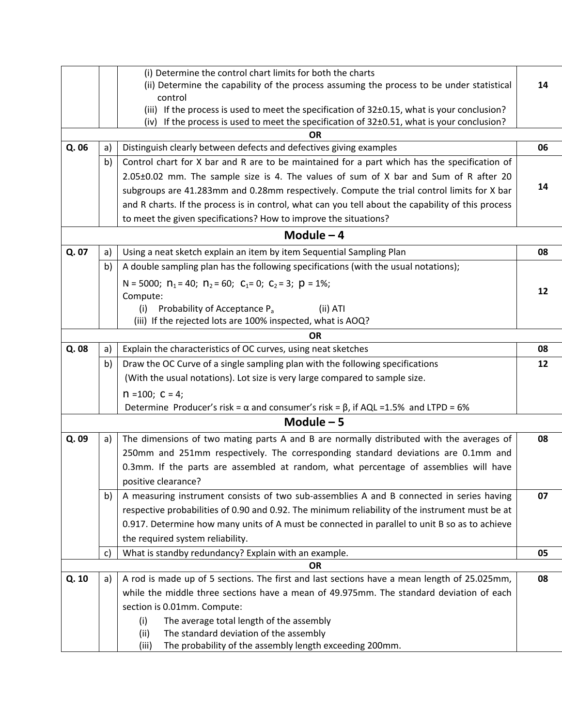|       |    | (i) Determine the control chart limits for both the charts                                                                                                                                     |    |  |  |  |  |  |  |  |  |
|-------|----|------------------------------------------------------------------------------------------------------------------------------------------------------------------------------------------------|----|--|--|--|--|--|--|--|--|
|       |    | (ii) Determine the capability of the process assuming the process to be under statistical                                                                                                      | 14 |  |  |  |  |  |  |  |  |
|       |    | control                                                                                                                                                                                        |    |  |  |  |  |  |  |  |  |
|       |    | (iii) If the process is used to meet the specification of 32±0.15, what is your conclusion?<br>(iv) If the process is used to meet the specification of $32\pm0.51$ , what is your conclusion? |    |  |  |  |  |  |  |  |  |
|       |    | ΟR                                                                                                                                                                                             |    |  |  |  |  |  |  |  |  |
| Q. 06 | a) | Distinguish clearly between defects and defectives giving examples                                                                                                                             | 06 |  |  |  |  |  |  |  |  |
|       | b) | Control chart for X bar and R are to be maintained for a part which has the specification of                                                                                                   |    |  |  |  |  |  |  |  |  |
|       |    | 2.05±0.02 mm. The sample size is 4. The values of sum of X bar and Sum of R after 20                                                                                                           |    |  |  |  |  |  |  |  |  |
|       |    | subgroups are 41.283mm and 0.28mm respectively. Compute the trial control limits for X bar                                                                                                     | 14 |  |  |  |  |  |  |  |  |
|       |    | and R charts. If the process is in control, what can you tell about the capability of this process                                                                                             |    |  |  |  |  |  |  |  |  |
|       |    | to meet the given specifications? How to improve the situations?                                                                                                                               |    |  |  |  |  |  |  |  |  |
|       |    | Module $-4$                                                                                                                                                                                    |    |  |  |  |  |  |  |  |  |
| Q. 07 | a) | Using a neat sketch explain an item by item Sequential Sampling Plan                                                                                                                           | 08 |  |  |  |  |  |  |  |  |
|       | b) | A double sampling plan has the following specifications (with the usual notations);                                                                                                            |    |  |  |  |  |  |  |  |  |
|       |    |                                                                                                                                                                                                |    |  |  |  |  |  |  |  |  |
|       |    | N = 5000; $n_1$ = 40; $n_2$ = 60; $C_1$ = 0; $C_2$ = 3; $p$ = 1%;                                                                                                                              | 12 |  |  |  |  |  |  |  |  |
|       |    | Compute:<br>Probability of Acceptance P <sub>a</sub><br>(ii) ATI<br>(i)                                                                                                                        |    |  |  |  |  |  |  |  |  |
|       |    | (iii) If the rejected lots are 100% inspected, what is AOQ?                                                                                                                                    |    |  |  |  |  |  |  |  |  |
|       |    | <b>OR</b>                                                                                                                                                                                      |    |  |  |  |  |  |  |  |  |
| Q. 08 | a) | Explain the characteristics of OC curves, using neat sketches                                                                                                                                  | 08 |  |  |  |  |  |  |  |  |
|       | b) | Draw the OC Curve of a single sampling plan with the following specifications                                                                                                                  | 12 |  |  |  |  |  |  |  |  |
|       |    | (With the usual notations). Lot size is very large compared to sample size.                                                                                                                    |    |  |  |  |  |  |  |  |  |
|       |    | $n = 100; C = 4;$                                                                                                                                                                              |    |  |  |  |  |  |  |  |  |
|       |    | Determine Producer's risk = $\alpha$ and consumer's risk = $\beta$ , if AQL = 1.5% and LTPD = 6%                                                                                               |    |  |  |  |  |  |  |  |  |
|       |    | Module $-5$                                                                                                                                                                                    |    |  |  |  |  |  |  |  |  |
| Q. 09 | a) | The dimensions of two mating parts A and B are normally distributed with the averages of                                                                                                       | 08 |  |  |  |  |  |  |  |  |
|       |    | 250mm and 251mm respectively. The corresponding standard deviations are 0.1mm and                                                                                                              |    |  |  |  |  |  |  |  |  |
|       |    | 0.3mm. If the parts are assembled at random, what percentage of assemblies will have                                                                                                           |    |  |  |  |  |  |  |  |  |
|       |    | positive clearance?                                                                                                                                                                            |    |  |  |  |  |  |  |  |  |
|       | b) | A measuring instrument consists of two sub-assemblies A and B connected in series having                                                                                                       | 07 |  |  |  |  |  |  |  |  |
|       |    | respective probabilities of 0.90 and 0.92. The minimum reliability of the instrument must be at                                                                                                |    |  |  |  |  |  |  |  |  |
|       |    | 0.917. Determine how many units of A must be connected in parallel to unit B so as to achieve                                                                                                  |    |  |  |  |  |  |  |  |  |
|       |    | the required system reliability.                                                                                                                                                               |    |  |  |  |  |  |  |  |  |
|       | c) | What is standby redundancy? Explain with an example.                                                                                                                                           | 05 |  |  |  |  |  |  |  |  |
|       |    | <b>OR</b>                                                                                                                                                                                      |    |  |  |  |  |  |  |  |  |
| Q. 10 | a) | A rod is made up of 5 sections. The first and last sections have a mean length of 25.025mm,                                                                                                    | 08 |  |  |  |  |  |  |  |  |
|       |    | while the middle three sections have a mean of 49.975mm. The standard deviation of each                                                                                                        |    |  |  |  |  |  |  |  |  |
|       |    | section is 0.01mm. Compute:                                                                                                                                                                    |    |  |  |  |  |  |  |  |  |
|       |    | The average total length of the assembly<br>(i)                                                                                                                                                |    |  |  |  |  |  |  |  |  |
|       |    | The standard deviation of the assembly<br>(ii)                                                                                                                                                 |    |  |  |  |  |  |  |  |  |
|       |    | The probability of the assembly length exceeding 200mm.<br>(iii)                                                                                                                               |    |  |  |  |  |  |  |  |  |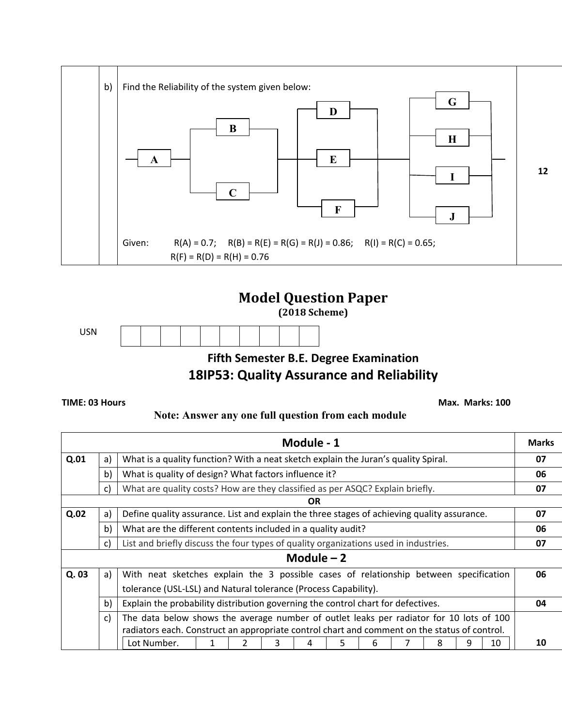



**(2018 Scheme)**



**Fifth Semester B.E. Degree Examination**

# **18IP53: Quality Assurance and Reliability**

**TIME: 03 Hours Max. Marks: 100** 

### **Note: Answer any one full question from each module**

|             |                                                                                             |                                                                                              |  |  |   | Module - 1 |   |   |  |   |   |    | <b>Marks</b> |
|-------------|---------------------------------------------------------------------------------------------|----------------------------------------------------------------------------------------------|--|--|---|------------|---|---|--|---|---|----|--------------|
| Q.01        | What is a quality function? With a neat sketch explain the Juran's quality Spiral.<br>a)    |                                                                                              |  |  |   |            |   |   |  |   |   |    | 07           |
|             | b)<br>What is quality of design? What factors influence it?                                 |                                                                                              |  |  |   |            |   |   |  |   |   |    | 06           |
|             | What are quality costs? How are they classified as per ASQC? Explain briefly.<br>C)         |                                                                                              |  |  |   |            |   |   |  |   |   |    | 07           |
|             |                                                                                             |                                                                                              |  |  |   | OR.        |   |   |  |   |   |    |              |
| Q.02        | a)                                                                                          | Define quality assurance. List and explain the three stages of achieving quality assurance.  |  |  |   |            |   |   |  |   |   |    | 07           |
|             | b)<br>What are the different contents included in a quality audit?                          |                                                                                              |  |  |   |            |   |   |  |   |   | 06 |              |
|             | List and briefly discuss the four types of quality organizations used in industries.<br>c)  |                                                                                              |  |  |   |            |   |   |  |   |   |    | 07           |
| Module $-2$ |                                                                                             |                                                                                              |  |  |   |            |   |   |  |   |   |    |              |
| Q. 03       | With neat sketches explain the 3 possible cases of relationship between specification<br>a) |                                                                                              |  |  |   |            |   |   |  |   |   | 06 |              |
|             | tolerance (USL-LSL) and Natural tolerance (Process Capability).                             |                                                                                              |  |  |   |            |   |   |  |   |   |    |              |
|             | Explain the probability distribution governing the control chart for defectives.<br>b)      |                                                                                              |  |  |   |            |   |   |  |   |   | 04 |              |
|             | C)                                                                                          | The data below shows the average number of outlet leaks per radiator for 10 lots of 100      |  |  |   |            |   |   |  |   |   |    |              |
|             |                                                                                             | radiators each. Construct an appropriate control chart and comment on the status of control. |  |  |   |            |   |   |  |   |   |    |              |
|             |                                                                                             | Lot Number.                                                                                  |  |  | 3 | 4          | 5 | 6 |  | 8 | 9 | 10 | 10           |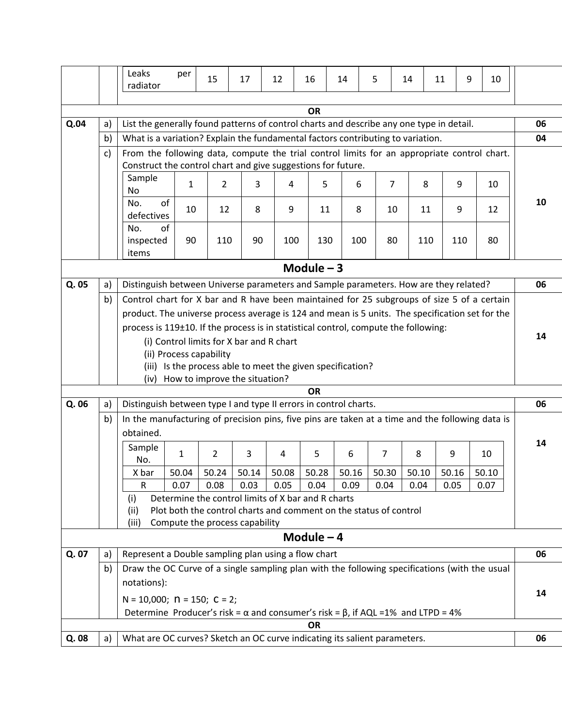|             |    | Leaks<br>radiator                                                                                                                                           | per          | 15                             | 17    | 12                                                                | 16          | 14    | 5              | 14    | 11  | 9     | 10    |    |
|-------------|----|-------------------------------------------------------------------------------------------------------------------------------------------------------------|--------------|--------------------------------|-------|-------------------------------------------------------------------|-------------|-------|----------------|-------|-----|-------|-------|----|
|             |    |                                                                                                                                                             |              |                                |       |                                                                   |             |       |                |       |     |       |       |    |
|             |    |                                                                                                                                                             |              |                                |       |                                                                   | <b>OR</b>   |       |                |       |     |       |       |    |
| Q.04        | a) | List the generally found patterns of control charts and describe any one type in detail.                                                                    |              |                                |       |                                                                   |             |       |                |       |     |       |       | 06 |
|             | b) | What is a variation? Explain the fundamental factors contributing to variation.                                                                             |              |                                |       |                                                                   |             |       |                |       |     |       |       | 04 |
|             | c) | From the following data, compute the trial control limits for an appropriate control chart.<br>Construct the control chart and give suggestions for future. |              |                                |       |                                                                   |             |       |                |       |     |       |       |    |
|             |    | Sample                                                                                                                                                      |              |                                |       |                                                                   |             |       |                |       |     |       |       |    |
|             |    | No                                                                                                                                                          | $\mathbf{1}$ | $\overline{2}$                 | 3     | 4                                                                 | 5           | 6     | $\overline{7}$ |       | 8   | 9     | 10    |    |
|             |    | of<br>No.                                                                                                                                                   | 10           | 12                             | 8     | 9                                                                 | 11          | 8     | 10             |       | 11  | 9     | 12    | 10 |
|             |    | defectives                                                                                                                                                  |              |                                |       |                                                                   |             |       |                |       |     |       |       |    |
|             |    | of<br>No.                                                                                                                                                   |              |                                |       |                                                                   |             |       |                |       |     |       |       |    |
|             |    | inspected<br>items                                                                                                                                          | 90           | 110                            | 90    | 100                                                               | 130         | 100   | 80             |       | 110 | 110   | 80    |    |
|             |    |                                                                                                                                                             |              |                                |       |                                                                   |             |       |                |       |     |       |       |    |
| Module $-3$ |    |                                                                                                                                                             |              |                                |       |                                                                   |             |       |                |       |     |       |       |    |
| Q. 05       | a) | Distinguish between Universe parameters and Sample parameters. How are they related?                                                                        |              |                                |       |                                                                   |             |       |                |       |     |       | 06    |    |
|             | b) | Control chart for X bar and R have been maintained for 25 subgroups of size 5 of a certain                                                                  |              |                                |       |                                                                   |             |       |                |       |     |       |       |    |
|             |    | product. The universe process average is 124 and mean is 5 units. The specification set for the                                                             |              |                                |       |                                                                   |             |       |                |       |     |       |       |    |
|             |    | process is 119±10. If the process is in statistical control, compute the following:                                                                         |              |                                |       |                                                                   |             |       |                |       |     |       | 14    |    |
|             |    | (i) Control limits for X bar and R chart<br>(ii) Process capability                                                                                         |              |                                |       |                                                                   |             |       |                |       |     |       |       |    |
|             |    | (iii) Is the process able to meet the given specification?                                                                                                  |              |                                |       |                                                                   |             |       |                |       |     |       |       |    |
|             |    | How to improve the situation?<br>(iv)                                                                                                                       |              |                                |       |                                                                   |             |       |                |       |     |       |       |    |
|             |    |                                                                                                                                                             |              |                                |       |                                                                   | <b>OR</b>   |       |                |       |     |       |       |    |
| Q. 06       | a) | Distinguish between type I and type II errors in control charts.                                                                                            |              |                                |       |                                                                   |             |       |                |       |     |       |       | 06 |
|             | b) | In the manufacturing of precision pins, five pins are taken at a time and the following data is                                                             |              |                                |       |                                                                   |             |       |                |       |     |       |       |    |
|             |    | obtained.                                                                                                                                                   |              |                                |       |                                                                   |             |       |                |       |     |       | 14    |    |
|             |    | Sample                                                                                                                                                      | $\mathbf{1}$ | $\overline{2}$                 | 3     | 4                                                                 | 5           | 6     | 7              | 8     |     | 9     | 10    |    |
|             |    | No.<br>X bar                                                                                                                                                | 50.04        | 50.24                          | 50.14 | 50.08                                                             | 50.28       | 50.16 | 50.30          | 50.10 |     | 50.16 | 50.10 |    |
|             |    | R                                                                                                                                                           | 0.07         | 0.08                           | 0.03  | 0.05                                                              | 0.04        | 0.09  | 0.04           | 0.04  |     | 0.05  | 0.07  |    |
|             |    | Determine the control limits of X bar and R charts<br>(i)                                                                                                   |              |                                |       |                                                                   |             |       |                |       |     |       |       |    |
|             |    | (ii)                                                                                                                                                        |              |                                |       | Plot both the control charts and comment on the status of control |             |       |                |       |     |       |       |    |
|             |    | (iii)                                                                                                                                                       |              | Compute the process capability |       |                                                                   |             |       |                |       |     |       |       |    |
|             |    |                                                                                                                                                             |              |                                |       |                                                                   | Module $-4$ |       |                |       |     |       |       |    |
| Q. 07       | a) | Represent a Double sampling plan using a flow chart                                                                                                         |              |                                |       |                                                                   |             |       |                |       |     |       |       | 06 |
|             | b) | Draw the OC Curve of a single sampling plan with the following specifications (with the usual                                                               |              |                                |       |                                                                   |             |       |                |       |     |       |       |    |
|             |    | notations):                                                                                                                                                 |              |                                |       |                                                                   |             |       |                |       |     |       |       |    |
|             |    | $N = 10,000;$ $N = 150;$ $C = 2;$                                                                                                                           |              |                                |       |                                                                   |             |       |                |       |     |       |       | 14 |
|             |    | Determine Producer's risk = $\alpha$ and consumer's risk = $\beta$ , if AQL = 1% and LTPD = 4%                                                              |              |                                |       |                                                                   |             |       |                |       |     |       |       |    |
|             |    |                                                                                                                                                             |              |                                |       |                                                                   | <b>OR</b>   |       |                |       |     |       |       |    |
| Q. 08       | a) | What are OC curves? Sketch an OC curve indicating its salient parameters.                                                                                   |              |                                |       |                                                                   |             |       |                |       |     | 06    |       |    |